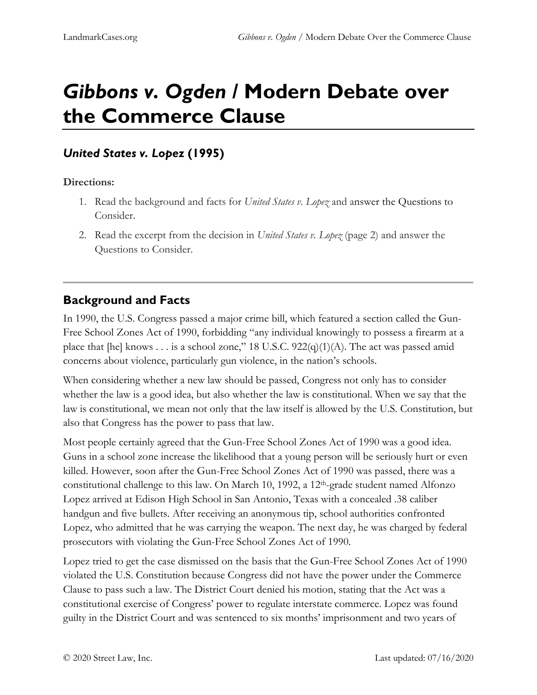# *Gibbons v. Ogden* **/ Modern Debate over the Commerce Clause**

## *United States v. Lopez* **(1995)**

#### **Directions:**

- 1. Read the background and facts for *United States v. Lopez* and answer the Questions to Consider.
- 2. Read the excerpt from the decision in *United States v. Lopez* (page 2) and answer the Questions to Consider.

#### **Background and Facts**

In 1990, the U.S. Congress passed a major crime bill, which featured a section called the Gun-Free School Zones Act of 1990, forbidding "any individual knowingly to possess a firearm at a place that [he] knows . . . is a school zone," 18 U.S.C.  $922(q)(1)(A)$ . The act was passed amid concerns about violence, particularly gun violence, in the nation's schools.

When considering whether a new law should be passed, Congress not only has to consider whether the law is a good idea, but also whether the law is constitutional. When we say that the law is constitutional, we mean not only that the law itself is allowed by the U.S. Constitution, but also that Congress has the power to pass that law.

Most people certainly agreed that the Gun-Free School Zones Act of 1990 was a good idea. Guns in a school zone increase the likelihood that a young person will be seriously hurt or even killed. However, soon after the Gun-Free School Zones Act of 1990 was passed, there was a constitutional challenge to this law. On March 10, 1992, a 12th-grade student named Alfonzo Lopez arrived at Edison High School in San Antonio, Texas with a concealed .38 caliber handgun and five bullets. After receiving an anonymous tip, school authorities confronted Lopez, who admitted that he was carrying the weapon. The next day, he was charged by federal prosecutors with violating the Gun-Free School Zones Act of 1990.

Lopez tried to get the case dismissed on the basis that the Gun-Free School Zones Act of 1990 violated the U.S. Constitution because Congress did not have the power under the Commerce Clause to pass such a law. The District Court denied his motion, stating that the Act was a constitutional exercise of Congress' power to regulate interstate commerce. Lopez was found guilty in the District Court and was sentenced to six months' imprisonment and two years of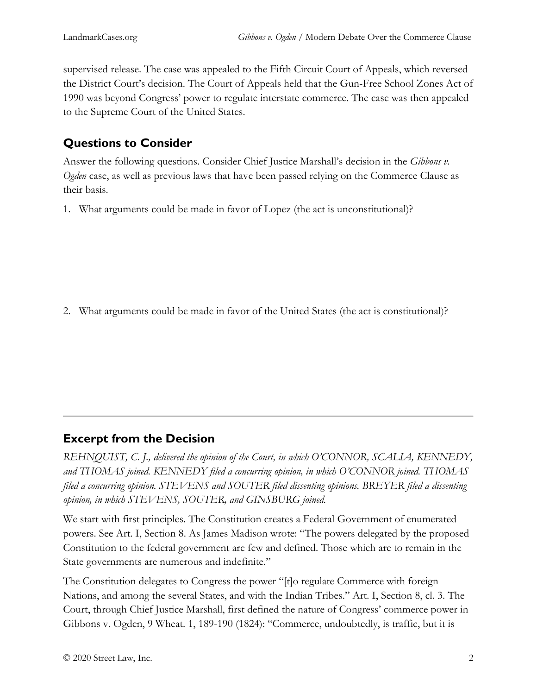supervised release. The case was appealed to the Fifth Circuit Court of Appeals, which reversed the District Court's decision. The Court of Appeals held that the Gun-Free School Zones Act of 1990 was beyond Congress' power to regulate interstate commerce. The case was then appealed to the Supreme Court of the United States.

# **Questions to Consider**

Answer the following questions. Consider Chief Justice Marshall's decision in the *Gibbons v. Ogden* case, as well as previous laws that have been passed relying on the Commerce Clause as their basis.

1. What arguments could be made in favor of Lopez (the act is unconstitutional)?

2. What arguments could be made in favor of the United States (the act is constitutional)?

# **Excerpt from the Decision**

*REHNQUIST, C. J., delivered the opinion of the Court, in which O'CONNOR, SCALIA, KENNEDY, and THOMAS joined. KENNEDY filed a concurring opinion, in which O'CONNOR joined. THOMAS filed a concurring opinion. STEVENS and SOUTER filed dissenting opinions. BREYER filed a dissenting opinion, in which STEVENS, SOUTER, and GINSBURG joined.* 

We start with first principles. The Constitution creates a Federal Government of enumerated powers. See Art. I, Section 8. As James Madison wrote: "The powers delegated by the proposed Constitution to the federal government are few and defined. Those which are to remain in the State governments are numerous and indefinite."

The Constitution delegates to Congress the power "[t]o regulate Commerce with foreign Nations, and among the several States, and with the Indian Tribes." Art. I, Section 8, cl. 3. The Court, through Chief Justice Marshall, first defined the nature of Congress' commerce power in Gibbons v. Ogden, 9 Wheat. 1, 189-190 (1824): "Commerce, undoubtedly, is traffic, but it is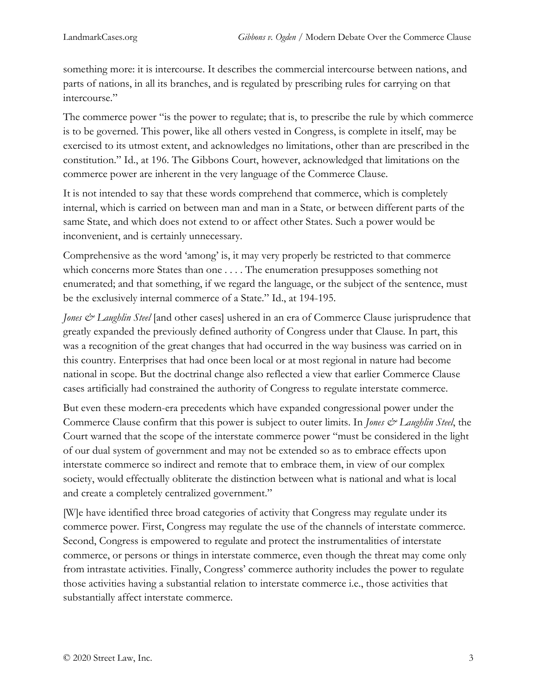something more: it is intercourse. It describes the commercial intercourse between nations, and parts of nations, in all its branches, and is regulated by prescribing rules for carrying on that intercourse."

The commerce power "is the power to regulate; that is, to prescribe the rule by which commerce is to be governed. This power, like all others vested in Congress, is complete in itself, may be exercised to its utmost extent, and acknowledges no limitations, other than are prescribed in the constitution." Id., at 196. The Gibbons Court, however, acknowledged that limitations on the commerce power are inherent in the very language of the Commerce Clause.

It is not intended to say that these words comprehend that commerce, which is completely internal, which is carried on between man and man in a State, or between different parts of the same State, and which does not extend to or affect other States. Such a power would be inconvenient, and is certainly unnecessary.

Comprehensive as the word 'among' is, it may very properly be restricted to that commerce which concerns more States than one . . . . The enumeration presupposes something not enumerated; and that something, if we regard the language, or the subject of the sentence, must be the exclusively internal commerce of a State." Id., at 194-195.

*Jones & Laughlin Steel* [and other cases] ushered in an era of Commerce Clause jurisprudence that greatly expanded the previously defined authority of Congress under that Clause. In part, this was a recognition of the great changes that had occurred in the way business was carried on in this country. Enterprises that had once been local or at most regional in nature had become national in scope. But the doctrinal change also reflected a view that earlier Commerce Clause cases artificially had constrained the authority of Congress to regulate interstate commerce.

But even these modern-era precedents which have expanded congressional power under the Commerce Clause confirm that this power is subject to outer limits. In *Jones & Laughlin Steel*, the Court warned that the scope of the interstate commerce power "must be considered in the light of our dual system of government and may not be extended so as to embrace effects upon interstate commerce so indirect and remote that to embrace them, in view of our complex society, would effectually obliterate the distinction between what is national and what is local and create a completely centralized government."

[W]e have identified three broad categories of activity that Congress may regulate under its commerce power. First, Congress may regulate the use of the channels of interstate commerce. Second, Congress is empowered to regulate and protect the instrumentalities of interstate commerce, or persons or things in interstate commerce, even though the threat may come only from intrastate activities. Finally, Congress' commerce authority includes the power to regulate those activities having a substantial relation to interstate commerce i.e., those activities that substantially affect interstate commerce.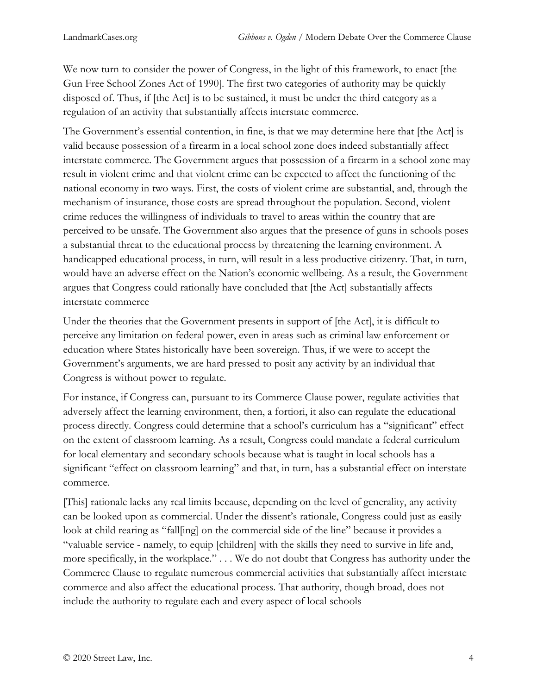We now turn to consider the power of Congress, in the light of this framework, to enact [the Gun Free School Zones Act of 1990]. The first two categories of authority may be quickly disposed of. Thus, if [the Act] is to be sustained, it must be under the third category as a regulation of an activity that substantially affects interstate commerce.

The Government's essential contention, in fine, is that we may determine here that [the Act] is valid because possession of a firearm in a local school zone does indeed substantially affect interstate commerce. The Government argues that possession of a firearm in a school zone may result in violent crime and that violent crime can be expected to affect the functioning of the national economy in two ways. First, the costs of violent crime are substantial, and, through the mechanism of insurance, those costs are spread throughout the population. Second, violent crime reduces the willingness of individuals to travel to areas within the country that are perceived to be unsafe. The Government also argues that the presence of guns in schools poses a substantial threat to the educational process by threatening the learning environment. A handicapped educational process, in turn, will result in a less productive citizenry. That, in turn, would have an adverse effect on the Nation's economic wellbeing. As a result, the Government argues that Congress could rationally have concluded that [the Act] substantially affects interstate commerce

Under the theories that the Government presents in support of [the Act], it is difficult to perceive any limitation on federal power, even in areas such as criminal law enforcement or education where States historically have been sovereign. Thus, if we were to accept the Government's arguments, we are hard pressed to posit any activity by an individual that Congress is without power to regulate.

For instance, if Congress can, pursuant to its Commerce Clause power, regulate activities that adversely affect the learning environment, then, a fortiori, it also can regulate the educational process directly. Congress could determine that a school's curriculum has a "significant" effect on the extent of classroom learning. As a result, Congress could mandate a federal curriculum for local elementary and secondary schools because what is taught in local schools has a significant "effect on classroom learning" and that, in turn, has a substantial effect on interstate commerce.

[This] rationale lacks any real limits because, depending on the level of generality, any activity can be looked upon as commercial. Under the dissent's rationale, Congress could just as easily look at child rearing as "fall[ing] on the commercial side of the line" because it provides a "valuable service - namely, to equip [children] with the skills they need to survive in life and, more specifically, in the workplace." . . . We do not doubt that Congress has authority under the Commerce Clause to regulate numerous commercial activities that substantially affect interstate commerce and also affect the educational process. That authority, though broad, does not include the authority to regulate each and every aspect of local schools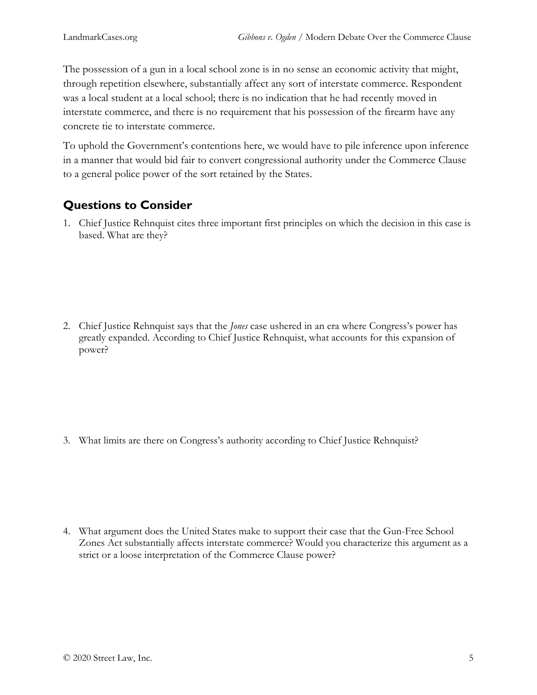The possession of a gun in a local school zone is in no sense an economic activity that might, through repetition elsewhere, substantially affect any sort of interstate commerce. Respondent was a local student at a local school; there is no indication that he had recently moved in interstate commerce, and there is no requirement that his possession of the firearm have any concrete tie to interstate commerce.

To uphold the Government's contentions here, we would have to pile inference upon inference in a manner that would bid fair to convert congressional authority under the Commerce Clause to a general police power of the sort retained by the States.

### **Questions to Consider**

1. Chief Justice Rehnquist cites three important first principles on which the decision in this case is based. What are they?

2. Chief Justice Rehnquist says that the *Jones* case ushered in an era where Congress's power has greatly expanded. According to Chief Justice Rehnquist, what accounts for this expansion of power?

3. What limits are there on Congress's authority according to Chief Justice Rehnquist?

4. What argument does the United States make to support their case that the Gun-Free School Zones Act substantially affects interstate commerce? Would you characterize this argument as a strict or a loose interpretation of the Commerce Clause power?